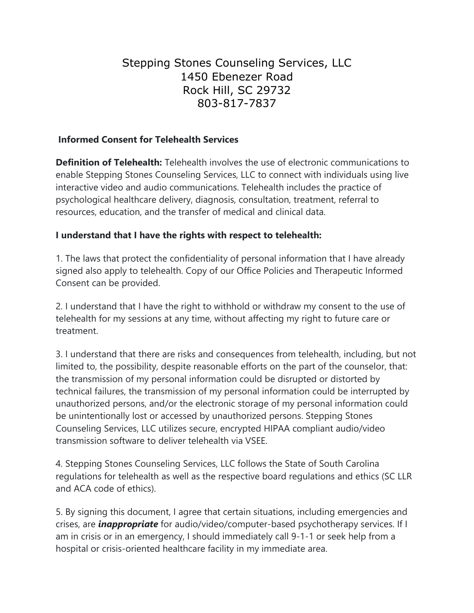# Stepping Stones Counseling Services, LLC 1450 Ebenezer Road Rock Hill, SC 29732 803-817-7837

## **Informed Consent for Telehealth Services**

**Definition of Telehealth:** Telehealth involves the use of electronic communications to enable Stepping Stones Counseling Services, LLC to connect with individuals using live interactive video and audio communications. Telehealth includes the practice of psychological healthcare delivery, diagnosis, consultation, treatment, referral to resources, education, and the transfer of medical and clinical data.

### **I understand that I have the rights with respect to telehealth:**

1. The laws that protect the confidentiality of personal information that I have already signed also apply to telehealth. Copy of our Office Policies and Therapeutic Informed Consent can be provided.

2. I understand that I have the right to withhold or withdraw my consent to the use of telehealth for my sessions at any time, without affecting my right to future care or treatment.

3. I understand that there are risks and consequences from telehealth, including, but not limited to, the possibility, despite reasonable efforts on the part of the counselor, that: the transmission of my personal information could be disrupted or distorted by technical failures, the transmission of my personal information could be interrupted by unauthorized persons, and/or the electronic storage of my personal information could be unintentionally lost or accessed by unauthorized persons. Stepping Stones Counseling Services, LLC utilizes secure, encrypted HIPAA compliant audio/video transmission software to deliver telehealth via VSEE.

4. Stepping Stones Counseling Services, LLC follows the State of South Carolina regulations for telehealth as well as the respective board regulations and ethics (SC LLR and ACA code of ethics).

5. By signing this document, I agree that certain situations, including emergencies and crises, are *inappropriate* for audio/video/computer-based psychotherapy services. If I am in crisis or in an emergency, I should immediately call 9-1-1 or seek help from a hospital or crisis-oriented healthcare facility in my immediate area.